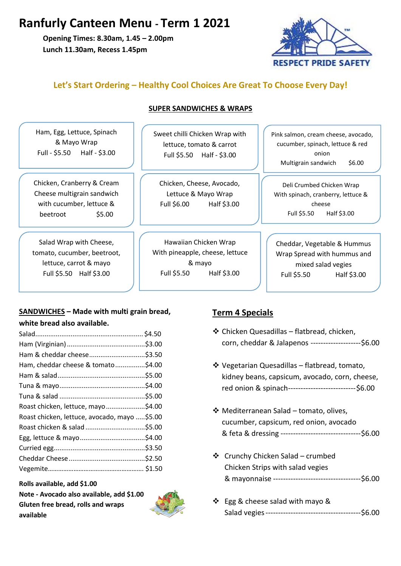# **Ranfurly Canteen Menu - Term 1 2021**

**Opening Times: 8.30am, 1.45 – 2.00pm Lunch 11.30am, Recess 1.45pm**



## **Let's Start Ordering – Healthy Cool Choices Are Great To Choose Every Day!**

**SUPER SANDWICHES & WRAPS**

| Ham, Egg, Lettuce, Spinach<br>& Mayo Wrap<br>Full - \$5.50 Half - \$3.00                                   | Sweet chilli Chicken Wrap with<br>lettuce, tomato & carrot<br>Full \$5.50 Half - \$3.00 | Pink salmon, cream cheese, avocado,<br>cucumber, spinach, lettuce & red<br>onion<br>\$6.00<br>Multigrain sandwich<br>Deli Crumbed Chicken Wrap<br>With spinach, cranberry, lettuce &<br>cheese<br>Full \$5.50<br>Half \$3.00 |  |
|------------------------------------------------------------------------------------------------------------|-----------------------------------------------------------------------------------------|------------------------------------------------------------------------------------------------------------------------------------------------------------------------------------------------------------------------------|--|
| Chicken, Cranberry & Cream<br>Cheese multigrain sandwich<br>with cucumber, lettuce &<br>\$5.00<br>beetroot | Chicken, Cheese, Avocado,<br>Lettuce & Mayo Wrap<br>Full \$6.00<br>Half \$3.00          |                                                                                                                                                                                                                              |  |
| Salad Wrap with Cheese,<br>tomato, cucumber, beetroot,<br>lettuce, carrot & mayo                           | Hawaiian Chicken Wrap<br>With pineapple, cheese, lettuce<br>& mayo                      | Cheddar, Vegetable & Hummus<br>Wrap Spread with hummus and<br>mixed salad vegies                                                                                                                                             |  |

Full \$5.50 Half \$3.00

### **SANDWICHES – Made with multi grain bread, white bread also available.**

Full \$5.50 Half \$3.00

| Ham & cheddar cheese\$3.50                   |  |
|----------------------------------------------|--|
| Ham, cheddar cheese & tomato\$4.00           |  |
|                                              |  |
|                                              |  |
|                                              |  |
| Roast chicken, lettuce, mayo\$4.00           |  |
| Roast chicken, lettuce, avocado, mayo \$5.00 |  |
|                                              |  |
|                                              |  |
|                                              |  |
|                                              |  |
|                                              |  |

**Rolls available, add \$1.00 Note - Avocado also available, add \$1.00**

**Gluten free bread, rolls and wraps available**



### **Term 4 Specials**

❖ Chicken Quesadillas – flatbread, chicken, corn, cheddar & Jalapenos --------------------\$6.00

Full \$5.50 Half \$3.00

- ❖ Vegetarian Quesadillas flatbread, tomato, kidney beans, capsicum, avocado, corn, cheese, red onion & spinach---------------------------\$6.00
- ❖ Mediterranean Salad tomato, olives, cucumber, capsicum, red onion, avocado & feta & dressing --------------------------------\$6.00
- ❖ Crunchy Chicken Salad crumbed Chicken Strips with salad vegies & mayonnaise -----------------------------------\$6.00
- ❖ Egg & cheese salad with mayo & Salad vegies--------------------------------------\$6.00